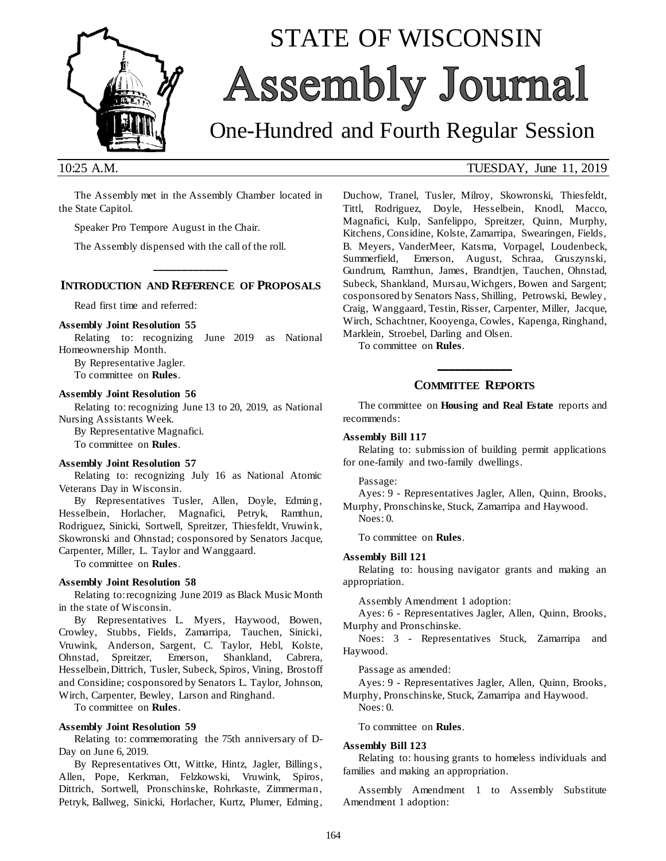

# STATE OF WISCONSIN Assembly Journal

## One-Hundred and Fourth Regular Session

The Assembly met in the Assembly Chamber located in the State Capitol.

Speaker Pro Tempore August in the Chair.

The Assembly dispensed with the call of the roll.

#### **\_\_\_\_\_\_\_\_\_\_\_\_\_ INTRODUCTION AND REFERENCE OF PROPOSALS**

Read first time and referred:

#### **Assembly Joint Resolution 55**

Relating to: recognizing June 2019 as National Homeownership Month.

By Representative Jagler. To committee on **Rules**.

#### **Assembly Joint Resolution 56**

Relating to: recognizing June 13 to 20, 2019, as National Nursing Assistants Week.

By Representative Magnafici.

To committee on **Rules**.

#### **Assembly Joint Resolution 57**

Relating to: recognizing July 16 as National Atomic Veterans Day in Wisconsin.

By Representatives Tusler, Allen, Doyle, Edming, Hesselbein, Horlacher, Magnafici, Petryk, Ramthun, Rodriguez, Sinicki, Sortwell, Spreitzer, Thiesfeldt, Vruwink, Skowronski and Ohnstad; cosponsored by Senators Jacque, Carpenter, Miller, L. Taylor and Wanggaard.

To committee on **Rules**.

#### **Assembly Joint Resolution 58**

Relating to: recognizing June 2019 as Black Music Month in the state of Wisconsin.

By Representatives L. Myers, Haywood, Bowen, Crowley, Stubbs, Fields, Zamarripa, Tauchen, Sinicki, Vruwink, Anderson, Sargent, C. Taylor, Hebl, Kolste, Ohnstad, Spreitzer, Emerson, Shankland, Cabrera, Hesselbein, Dittrich, Tusler, Subeck, Spiros, Vining, Brostoff and Considine; cosponsored by Senators L. Taylor, Johnson, Wirch, Carpenter, Bewley, Larson and Ringhand.

To committee on **Rules**.

#### **Assembly Joint Resolution 59**

Relating to: commemorating the 75th anniversary of D-Day on June 6, 2019.

By Representatives Ott, Wittke, Hintz, Jagler, Billings , Allen, Pope, Kerkman, Felzkowski, Vruwink, Spiros, Dittrich, Sortwell, Pronschinske, Rohrkaste, Zimmerman, Petryk, Ballweg, Sinicki, Horlacher, Kurtz, Plumer, Edming,

#### 10:25 A.M. TUESDAY, June 11, 2019

Duchow, Tranel, Tusler, Milroy, Skowronski, Thiesfeldt, Tittl, Rodriguez, Doyle, Hesselbein, Knodl, Macco, Magnafici, Kulp, Sanfelippo, Spreitzer, Quinn, Murphy, Kitchens, Considine, Kolste, Zamarripa, Swearingen, Fields, B. Meyers, VanderMeer, Katsma, Vorpagel, Loudenbeck, Summerfield, Emerson, August, Schraa, Gruszynski, Gundrum, Ramthun, James, Brandtjen, Tauchen, Ohnstad, Subeck, Shankland, Mursau, Wichgers, Bowen and Sargent; cosponsored by Senators Nass, Shilling, Petrowski, Bewley, Craig, Wanggaard, Testin, Risser, Carpenter, Miller, Jacque, Wirch, Schachtner, Kooyenga, Cowles, Kapenga, Ringhand, Marklein, Stroebel, Darling and Olsen.

To committee on **Rules**.

#### **\_\_\_\_\_\_\_\_\_\_\_\_\_ COMMITTEE REPORTS**

The committee on **Housing and Real Estate** reports and recommends:

#### **Assembly Bill 117**

Relating to: submission of building permit applications for one-family and two-family dwellings.

Passage:

Ayes: 9 - Representatives Jagler, Allen, Quinn, Brooks, Murphy, Pronschinske, Stuck, Zamarripa and Haywood.

Noes: 0.

To committee on **Rules**.

#### **Assembly Bill 121**

Relating to: housing navigator grants and making an appropriation.

Assembly Amendment 1 adoption:

Ayes: 6 - Representatives Jagler, Allen, Quinn, Brooks, Murphy and Pronschinske.

Noes: 3 - Representatives Stuck, Zamarripa and Haywood.

Passage as amended:

Ayes: 9 - Representatives Jagler, Allen, Quinn, Brooks, Murphy, Pronschinske, Stuck, Zamarripa and Haywood.

Noes: 0.

#### To committee on **Rules**.

#### **Assembly Bill 123**

Relating to: housing grants to homeless individuals and families and making an appropriation.

Assembly Amendment 1 to Assembly Substitute Amendment 1 adoption: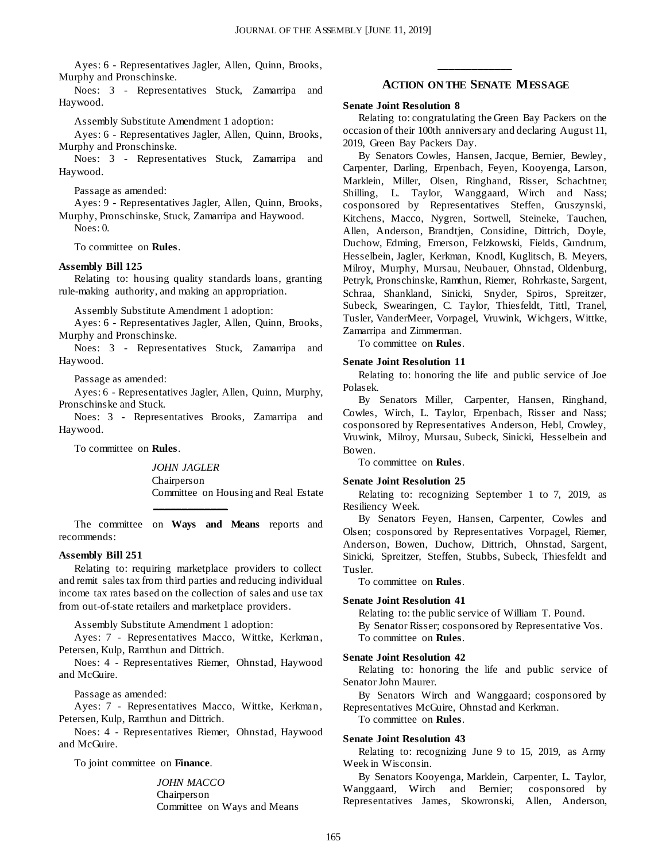Ayes: 6 - Representatives Jagler, Allen, Quinn, Brooks, Murphy and Pronschinske.

Noes: 3 - Representatives Stuck, Zamarripa and Haywood.

Assembly Substitute Amendment 1 adoption:

Ayes: 6 - Representatives Jagler, Allen, Quinn, Brooks, Murphy and Pronschinske.

Noes: 3 - Representatives Stuck, Zamarripa and Haywood.

Passage as amended:

Ayes: 9 - Representatives Jagler, Allen, Quinn, Brooks, Murphy, Pronschinske, Stuck, Zamarripa and Haywood. Noes: 0.

To committee on **Rules**.

#### **Assembly Bill 125**

Relating to: housing quality standards loans, granting rule-making authority, and making an appropriation.

Assembly Substitute Amendment 1 adoption:

Ayes: 6 - Representatives Jagler, Allen, Quinn, Brooks, Murphy and Pronschinske.

Noes: 3 - Representatives Stuck, Zamarripa and Haywood.

Passage as amended:

Ayes: 6 - Representatives Jagler, Allen, Quinn, Murphy, Pronschinske and Stuck.

Noes: 3 - Representatives Brooks, Zamarripa and Haywood.

To committee on **Rules**.

*JOHN JAGLER* Chairperson Committee on Housing and Real Estate

The committee on **Ways and Means** reports and recommends:

**\_\_\_\_\_\_\_\_\_\_\_\_\_**

#### **Assembly Bill 251**

Relating to: requiring marketplace providers to collect and remit sales tax from third parties and reducing individual income tax rates based on the collection of sales and use tax from out-of-state retailers and marketplace providers.

Assembly Substitute Amendment 1 adoption:

Ayes: 7 - Representatives Macco, Wittke, Kerkman, Petersen, Kulp, Ramthun and Dittrich.

Noes: 4 - Representatives Riemer, Ohnstad, Haywood and McGuire.

Passage as amended:

Ayes: 7 - Representatives Macco, Wittke, Kerkman, Petersen, Kulp, Ramthun and Dittrich.

Noes: 4 - Representatives Riemer, Ohnstad, Haywood and McGuire.

To joint committee on **Finance**.

*JOHN MACCO* Chairperson Committee on Ways and Means

### **\_\_\_\_\_\_\_\_\_\_\_\_\_ ACTION ON THE SENATE MESSAGE**

#### **Senate Joint Resolution 8**

Relating to: congratulating the Green Bay Packers on the occasion of their 100th anniversary and declaring August 11, 2019, Green Bay Packers Day.

By Senators Cowles, Hansen, Jacque, Bernier, Bewley, Carpenter, Darling, Erpenbach, Feyen, Kooyenga, Larson, Marklein, Miller, Olsen, Ringhand, Risser, Schachtner, Shilling, L. Taylor, Wanggaard, Wirch and Nass; cosponsored by Representatives Steffen, Gruszynski, Kitchens, Macco, Nygren, Sortwell, Steineke, Tauchen, Allen, Anderson, Brandtjen, Considine, Dittrich, Doyle, Duchow, Edming, Emerson, Felzkowski, Fields, Gundrum, Hesselbein, Jagler, Kerkman, Knodl, Kuglitsch, B. Meyers, Milroy, Murphy, Mursau, Neubauer, Ohnstad, Oldenburg, Petryk, Pronschinske, Ramthun, Riemer, Rohrkaste, Sargent, Schraa, Shankland, Sinicki, Snyder, Spiros, Spreitzer, Subeck, Swearingen, C. Taylor, Thiesfeldt, Tittl, Tranel, Tusler, VanderMeer, Vorpagel, Vruwink, Wichgers, Wittke, Zamarripa and Zimmerman.

To committee on **Rules**.

#### **Senate Joint Resolution 11**

Relating to: honoring the life and public service of Joe Polasek.

By Senators Miller, Carpenter, Hansen, Ringhand, Cowles, Wirch, L. Taylor, Erpenbach, Risser and Nass; cosponsored by Representatives Anderson, Hebl, Crowley, Vruwink, Milroy, Mursau, Subeck, Sinicki, Hesselbein and Bowen.

To committee on **Rules**.

#### **Senate Joint Resolution 25**

Relating to: recognizing September 1 to 7, 2019, as Resiliency Week.

By Senators Feyen, Hansen, Carpenter, Cowles and Olsen; cosponsored by Representatives Vorpagel, Riemer, Anderson, Bowen, Duchow, Dittrich, Ohnstad, Sargent, Sinicki, Spreitzer, Steffen, Stubbs, Subeck, Thiesfeldt and Tusler.

To committee on **Rules**.

#### **Senate Joint Resolution 41**

Relating to: the public service of William T. Pound. By Senator Risser; cosponsored by Representative Vos. To committee on **Rules**.

#### **Senate Joint Resolution 42**

Relating to: honoring the life and public service of Senator John Maurer.

By Senators Wirch and Wanggaard; cosponsored by Representatives McGuire, Ohnstad and Kerkman.

To committee on **Rules**.

#### **Senate Joint Resolution 43**

Relating to: recognizing June 9 to 15, 2019, as Army Week in Wisconsin.

By Senators Kooyenga, Marklein, Carpenter, L. Taylor, Wanggaard, Wirch and Bernier; cosponsored by Representatives James, Skowronski, Allen, Anderson,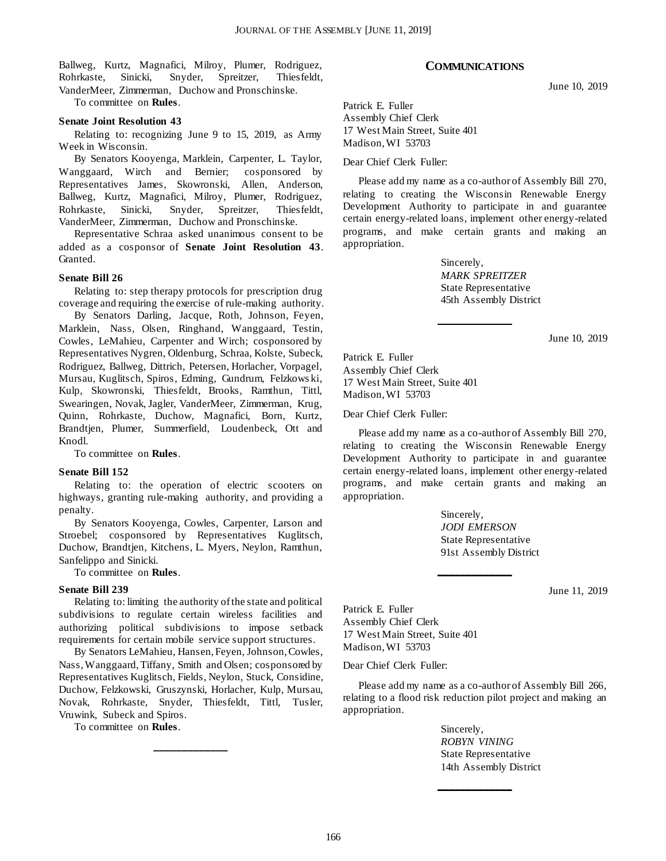Ballweg, Kurtz, Magnafici, Milroy, Plumer, Rodriguez, Rohrkaste, Sinicki, Snyder, Spreitzer, Thiesfeldt, VanderMeer, Zimmerman, Duchow and Pronschinske.

To committee on **Rules**.

#### **Senate Joint Resolution 43**

Relating to: recognizing June 9 to 15, 2019, as Army Week in Wisconsin.

By Senators Kooyenga, Marklein, Carpenter, L. Taylor, Wanggaard, Wirch and Bernier; cosponsored by Representatives James, Skowronski, Allen, Anderson, Ballweg, Kurtz, Magnafici, Milroy, Plumer, Rodriguez, Rohrkaste, Sinicki, Snyder, Spreitzer, Thiesfeldt, VanderMeer, Zimmerman, Duchow and Pronschinske.

Representative Schraa asked unanimous consent to be added as a cosponsor of **Senate Joint Resolution 43**. Granted.

#### **Senate Bill 26**

Relating to: step therapy protocols for prescription drug coverage and requiring the exercise of rule-making authority.

By Senators Darling, Jacque, Roth, Johnson, Feyen, Marklein, Nass, Olsen, Ringhand, Wanggaard, Testin, Cowles, LeMahieu, Carpenter and Wirch; cosponsored by Representatives Nygren, Oldenburg, Schraa, Kolste, Subeck, Rodriguez, Ballweg, Dittrich, Petersen, Horlacher, Vorpagel, Mursau, Kuglitsch, Spiros, Edming, Gundrum, Felzkows ki, Kulp, Skowronski, Thiesfeldt, Brooks, Ramthun, Tittl, Swearingen, Novak, Jagler, VanderMeer, Zimmerman, Krug, Quinn, Rohrkaste, Duchow, Magnafici, Born, Kurtz, Brandtjen, Plumer, Summerfield, Loudenbeck, Ott and Knodl.

To committee on **Rules**.

#### **Senate Bill 152**

Relating to: the operation of electric scooters on highways, granting rule-making authority, and providing a penalty.

By Senators Kooyenga, Cowles, Carpenter, Larson and Stroebel; cosponsored by Representatives Kuglitsch, Duchow, Brandtjen, Kitchens, L. Myers, Neylon, Ramthun, Sanfelippo and Sinicki.

To committee on **Rules**.

#### **Senate Bill 239**

Relating to: limiting the authority of the state and political subdivisions to regulate certain wireless facilities and authorizing political subdivisions to impose setback requirements for certain mobile service support structures.

By Senators LeMahieu, Hansen, Feyen, Johnson, Cowles, Nass, Wanggaard, Tiffany, Smith and Olsen; cosponsored by Representatives Kuglitsch, Fields, Neylon, Stuck, Considine, Duchow, Felzkowski, Gruszynski, Horlacher, Kulp, Mursau, Novak, Rohrkaste, Snyder, Thiesfeldt, Tittl, Tusler, Vruwink, Subeck and Spiros.

**\_\_\_\_\_\_\_\_\_\_\_\_\_**

To committee on **Rules**.

#### **COMMUNICATIONS**

June 10, 2019

Patrick E. Fuller Assembly Chief Clerk 17 West Main Street, Suite 401 Madison, WI 53703

Dear Chief Clerk Fuller:

Please add my name as a co-author of Assembly Bill 270, relating to creating the Wisconsin Renewable Energy Development Authority to participate in and guarantee certain energy-related loans, implement other energy-related programs, and make certain grants and making an appropriation.

> Sincerely, *MARK SPREITZER* State Representative 45th Assembly District

**\_\_\_\_\_\_\_\_\_\_\_\_\_**

June 10, 2019

Patrick E. Fuller Assembly Chief Clerk 17 West Main Street, Suite 401 Madison, WI 53703

Dear Chief Clerk Fuller:

Please add my name as a co-author of Assembly Bill 270, relating to creating the Wisconsin Renewable Energy Development Authority to participate in and guarantee certain energy-related loans, implement other energy-related programs, and make certain grants and making an appropriation.

> Sincerely, *JODI EMERSON* State Representative 91st Assembly District

**\_\_\_\_\_\_\_\_\_\_\_\_\_**

June 11, 2019

Patrick E. Fuller Assembly Chief Clerk 17 West Main Street, Suite 401 Madison, WI 53703

Dear Chief Clerk Fuller:

Please add my name as a co-author of Assembly Bill 266, relating to a flood risk reduction pilot project and making an appropriation.

**\_\_\_\_\_\_\_\_\_\_\_\_\_**

Sincerely, *ROBYN VINING* State Representative 14th Assembly District